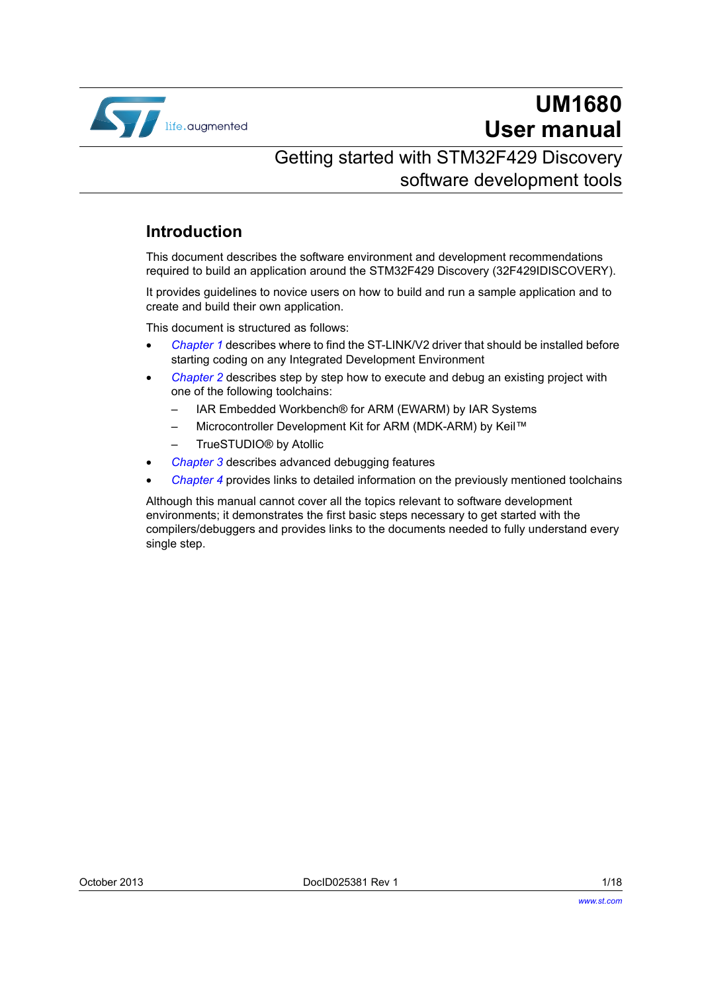

# **UM1680 User manual**

### Getting started with STM32F429 Discovery software development tools

### **Introduction**

This document describes the software environment and development recommendations required to build an application around the STM32F429 Discovery (32F429IDISCOVERY).

It provides guidelines to novice users on how to build and run a sample application and to create and build their own application.

This document is structured as follows:

- *[Chapter 1](#page-4-0)* describes where to find the ST-LINK/V2 driver that should be installed before starting coding on any Integrated Development Environment
- *[Chapter 2](#page-7-0)* describes step by step how to execute and debug an existing project with one of the following toolchains:
	- IAR Embedded Workbench® for ARM (EWARM) by IAR Systems
	- Microcontroller Development Kit for ARM (MDK-ARM) by Keil™
	- TrueSTUDIO® by Atollic
- *[Chapter 3](#page-14-0)* describes advanced debugging features
- *[Chapter 4](#page-15-0)* provides links to detailed information on the previously mentioned toolchains

Although this manual cannot cover all the topics relevant to software development environments; it demonstrates the first basic steps necessary to get started with the compilers/debuggers and provides links to the documents needed to fully understand every single step.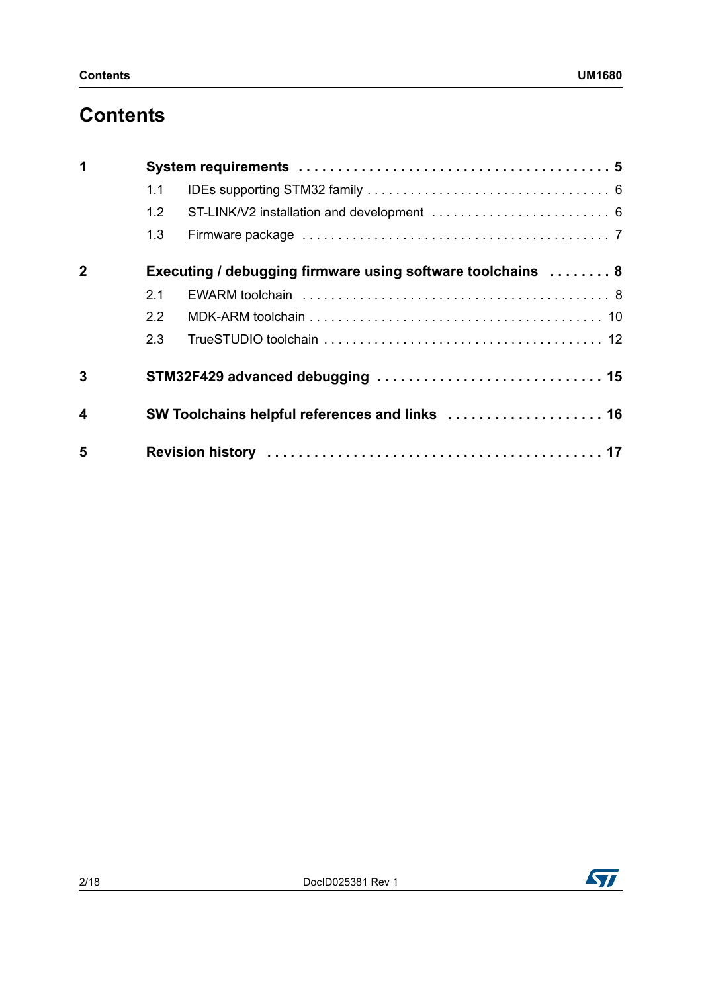## **Contents**

| 1                       |     |                                                             |
|-------------------------|-----|-------------------------------------------------------------|
|                         | 1.1 |                                                             |
|                         | 1.2 |                                                             |
|                         | 1.3 |                                                             |
| $\mathbf{2}$            |     | Executing / debugging firmware using software toolchains  8 |
|                         | 2.1 |                                                             |
|                         | 2.2 |                                                             |
|                         | 2.3 |                                                             |
| 3                       |     |                                                             |
| $\overline{\mathbf{4}}$ |     | SW Toolchains helpful references and links  16              |
| 5                       |     |                                                             |

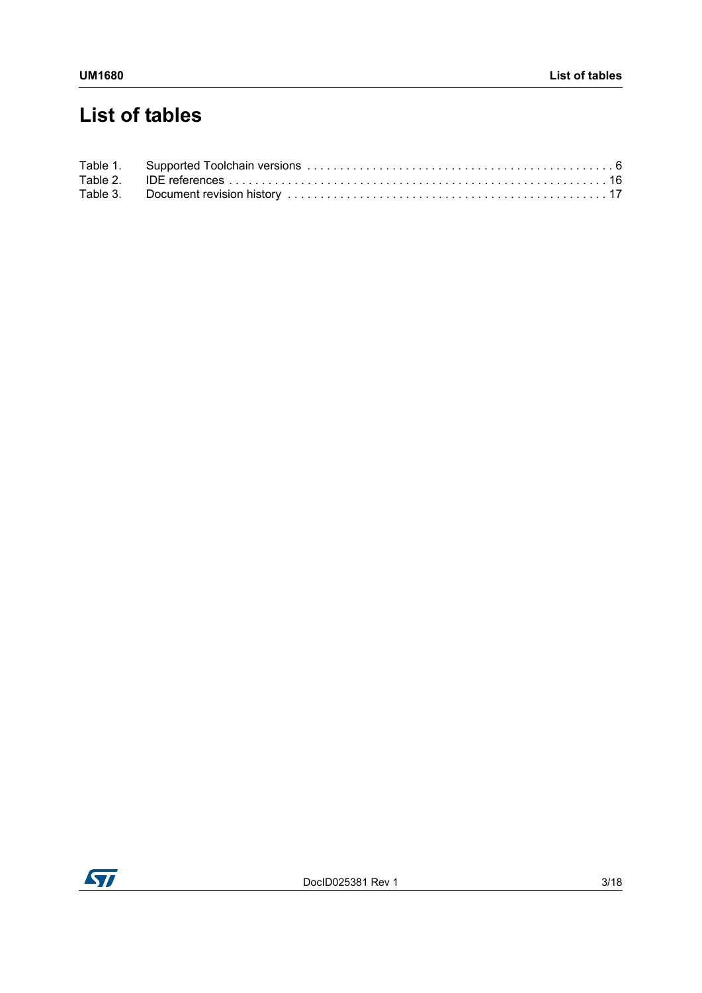# **List of tables**

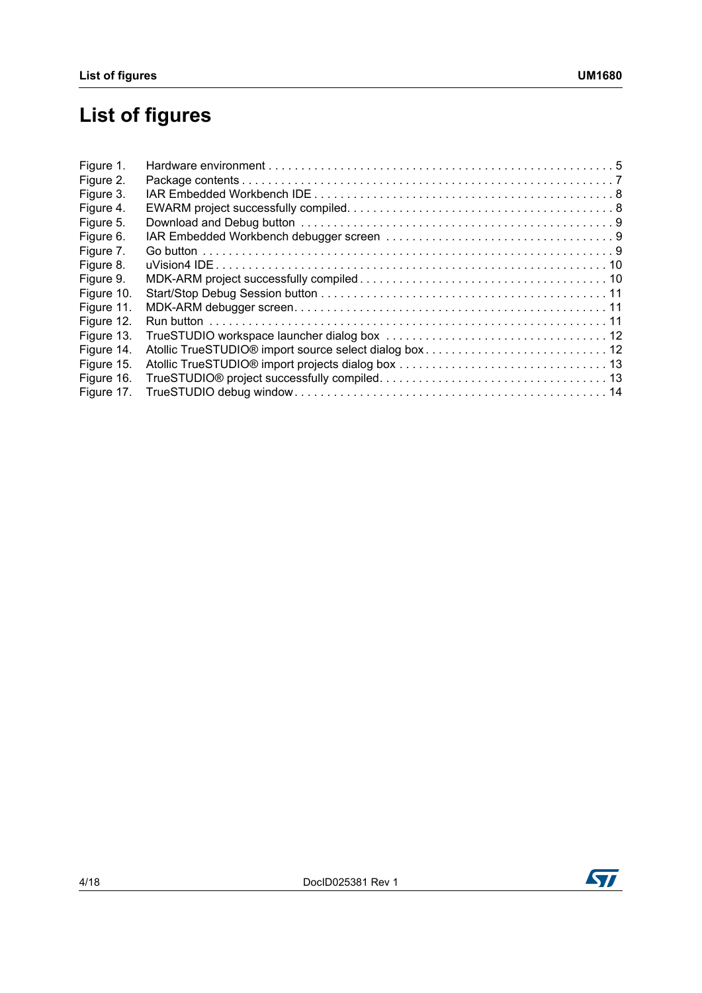# **List of figures**

| Figure 1.  |                                                        |  |
|------------|--------------------------------------------------------|--|
| Figure 2.  |                                                        |  |
| Figure 3.  |                                                        |  |
| Figure 4.  |                                                        |  |
| Figure 5.  |                                                        |  |
| Figure 6.  |                                                        |  |
| Figure 7.  |                                                        |  |
| Figure 8.  |                                                        |  |
| Figure 9.  |                                                        |  |
| Figure 10. |                                                        |  |
| Figure 11. |                                                        |  |
| Figure 12. |                                                        |  |
| Figure 13. |                                                        |  |
| Figure 14. | Atollic TrueSTUDIO® import source select dialog box 12 |  |
| Figure 15. |                                                        |  |
| Figure 16. |                                                        |  |
| Figure 17. |                                                        |  |

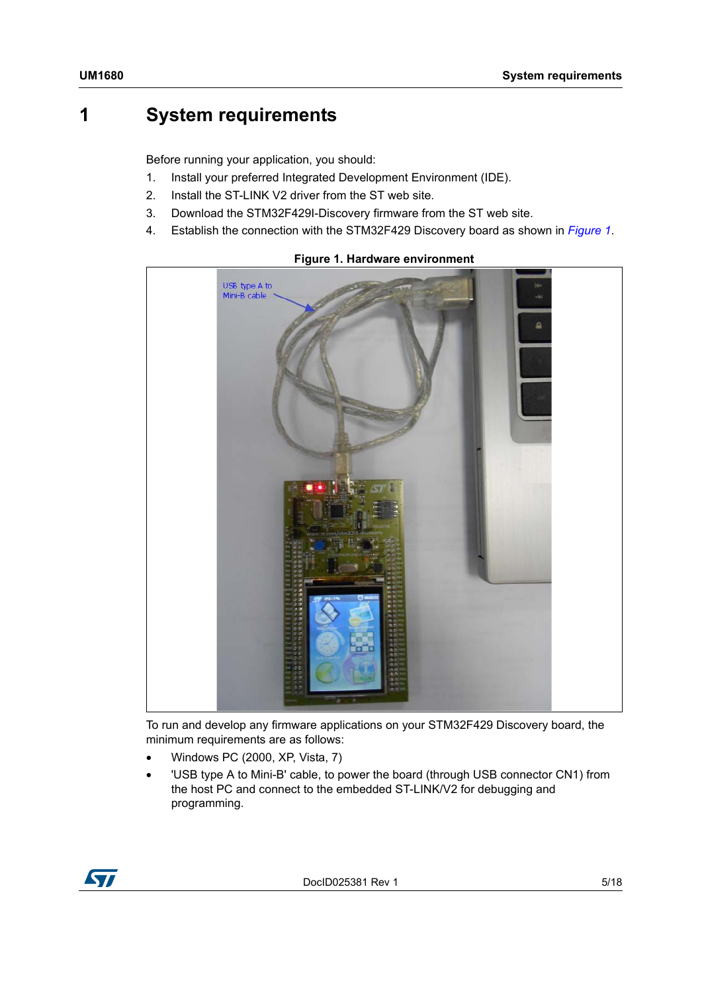### <span id="page-4-1"></span>**1 System requirements**

<span id="page-4-0"></span>Before running your application, you should:

- 1. Install your preferred Integrated Development Environment (IDE).
- 2. Install the ST-LINK V2 driver from the ST web site.
- 3. Download the STM32F429I-Discovery firmware from the ST web site.
- 4. Establish the connection with the STM32F429 Discovery board as shown in *[Figure 1](#page-4-2)*.

<span id="page-4-2"></span>

### **Figure 1. Hardware environment**

To run and develop any firmware applications on your STM32F429 Discovery board, the minimum requirements are as follows:

- Windows PC (2000, XP, Vista, 7)
- 'USB type A to Mini-B' cable, to power the board (through USB connector CN1) from the host PC and connect to the embedded ST-LINK/V2 for debugging and programming.



DocID025381 Rev 1 5/18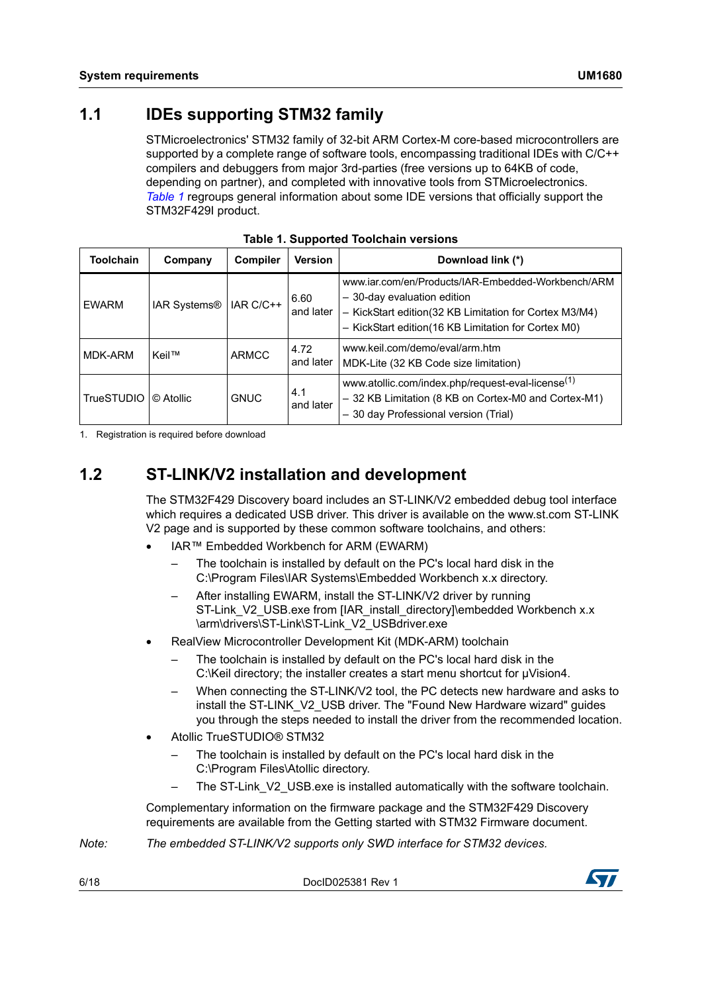<span id="page-5-0"></span>STMicroelectronics' STM32 family of 32-bit ARM Cortex-M core-based microcontrollers are supported by a complete range of software tools, encompassing traditional IDEs with C/C++ compilers and debuggers from major 3rd-parties (free versions up to 64KB of code, depending on partner), and completed with innovative tools from STMicroelectronics. *[Table 1](#page-5-2)* regroups general information about some IDE versions that officially support the STM32F429I product.

<span id="page-5-2"></span>

| Toolchain              | Company             | <b>Compiler</b> | <b>Version</b>    | Download link (*)                                                                                                                                                                                  |
|------------------------|---------------------|-----------------|-------------------|----------------------------------------------------------------------------------------------------------------------------------------------------------------------------------------------------|
| <b>EWARM</b>           | <b>IAR Systems®</b> | IAR C/C++       | 6.60<br>and later | www.iar.com/en/Products/IAR-Embedded-Workbench/ARM<br>- 30-day evaluation edition<br>- KickStart edition(32 KB Limitation for Cortex M3/M4)<br>- KickStart edition(16 KB Limitation for Cortex M0) |
| MDK-ARM                | Keil™               | <b>ARMCC</b>    | 4.72<br>and later | www.keil.com/demo/eval/arm.htm<br>MDK-Lite (32 KB Code size limitation)                                                                                                                            |
| TrueSTUDIO   © Atollic |                     | <b>GNUC</b>     | 4.1<br>and later  | www.atollic.com/index.php/request-eval-license <sup>(1)</sup><br>- 32 KB Limitation (8 KB on Cortex-M0 and Cortex-M1)<br>- 30 day Professional version (Trial)                                     |

**Table 1. Supported Toolchain versions**

1. Registration is required before download

### <span id="page-5-1"></span>**1.2 ST-LINK/V2 installation and development**

The STM32F429 Discovery board includes an ST-LINK/V2 embedded debug tool interface which requires a dedicated USB driver. This driver is available on the www.st.com ST-LINK V2 page and is supported by these common software toolchains, and others:

- IAR™ Embedded Workbench for ARM (EWARM)
	- The toolchain is installed by default on the PC's local hard disk in the C:\Program Files\IAR Systems\Embedded Workbench x.x directory.
	- After installing EWARM, install the ST-LINK/V2 driver by running ST-Link\_V2\_USB.exe from [IAR\_install\_directory]\embedded Workbench x.x \arm\drivers\ST-Link\ST-Link\_V2\_USBdriver.exe
- RealView Microcontroller Development Kit (MDK-ARM) toolchain
	- The toolchain is installed by default on the PC's local hard disk in the C:\Keil directory; the installer creates a start menu shortcut for µVision4.
	- When connecting the ST-LINK/V2 tool, the PC detects new hardware and asks to install the ST-LINK V2 USB driver. The "Found New Hardware wizard" guides you through the steps needed to install the driver from the recommended location.
- Atollic TrueSTUDIO® STM32
	- The toolchain is installed by default on the PC's local hard disk in the C:\Program Files\Atollic directory.
	- The ST-Link \_V2\_USB.exe is installed automatically with the software toolchain.

Complementary information on the firmware package and the STM32F429 Discovery requirements are available from the Getting started with STM32 Firmware document.

*Note: The embedded ST-LINK/V2 supports only SWD interface for STM32 devices.* 

6/18 DocID025381 Rev 1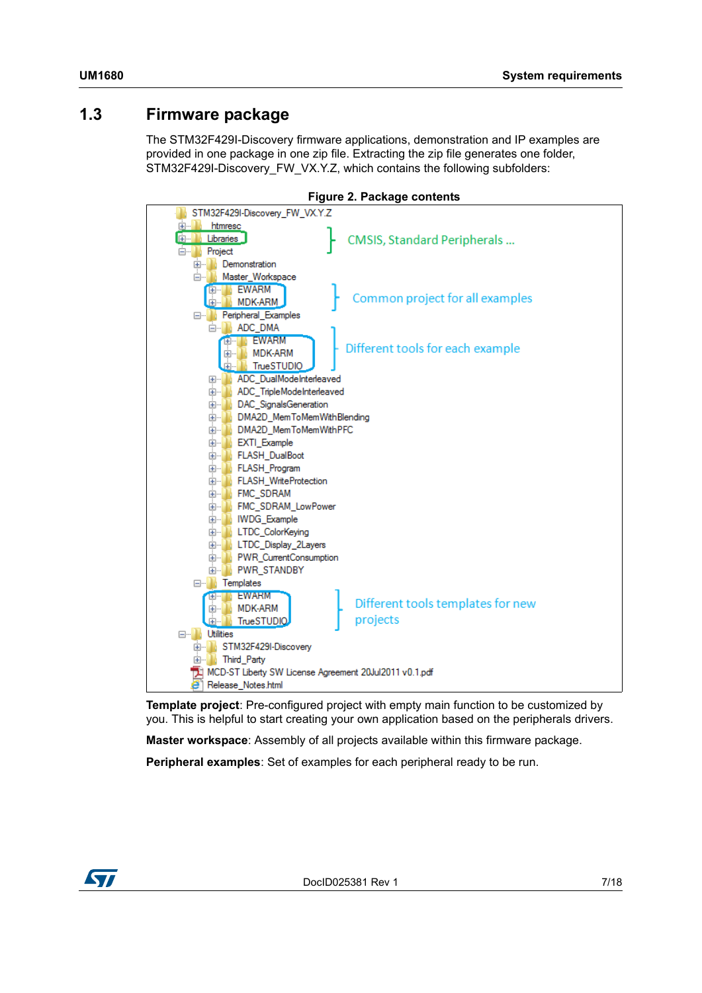### <span id="page-6-0"></span>**1.3 Firmware package**

The STM32F429I-Discovery firmware applications, demonstration and IP examples are provided in one package in one zip file. Extracting the zip file generates one folder, STM32F429I-Discovery\_FW\_VX.Y.Z, which contains the following subfolders:

<span id="page-6-1"></span>

**Template project**: Pre-configured project with empty main function to be customized by you. This is helpful to start creating your own application based on the peripherals drivers.

**Master workspace**: Assembly of all projects available within this firmware package.

**Peripheral examples**: Set of examples for each peripheral ready to be run.

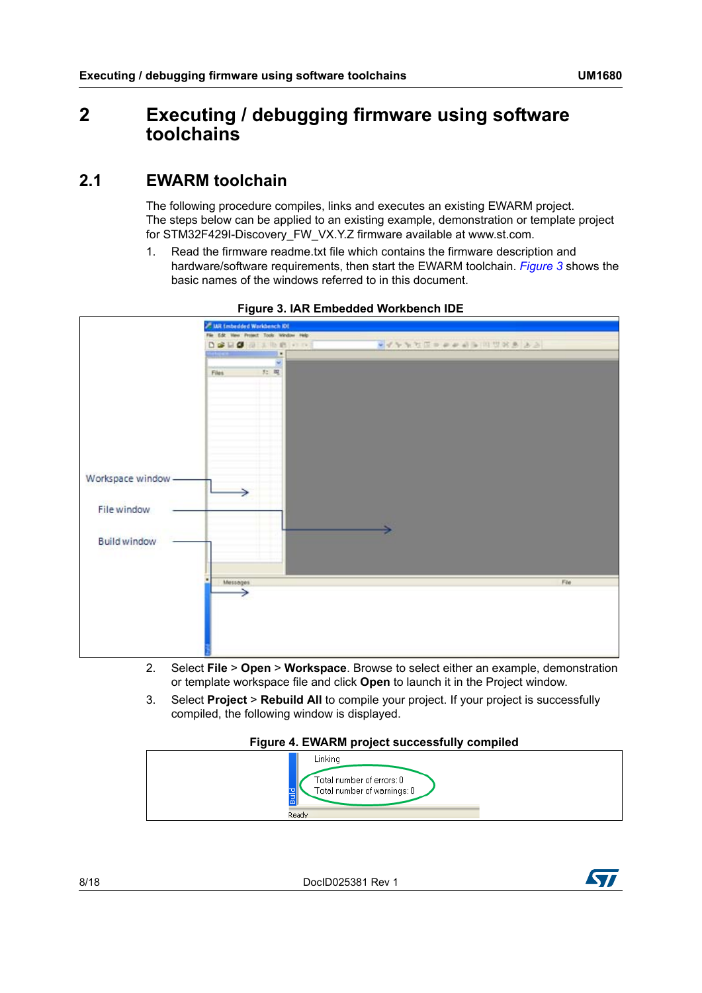### <span id="page-7-1"></span><span id="page-7-0"></span>**2 Executing / debugging firmware using software toolchains**

### <span id="page-7-2"></span>**2.1 EWARM toolchain**

The following procedure compiles, links and executes an existing EWARM project. The steps below can be applied to an existing example, demonstration or template project for STM32F429I-Discovery\_FW\_VX.Y.Z firmware available at www.st.com.

1. Read the firmware readme.txt file which contains the firmware description and hardware/software requirements, then start the EWARM toolchain. *[Figure 3](#page-7-3)* shows the basic names of the windows referred to in this document.

<span id="page-7-3"></span>

**Figure 3. IAR Embedded Workbench IDE**

- 2. Select **File** > **Open** > **Workspace**. Browse to select either an example, demonstration or template workspace file and click **Open** to launch it in the Project window.
- 3. Select **Project** > **Rebuild All** to compile your project. If your project is successfully compiled, the following window is displayed.

#### **Figure 4. EWARM project successfully compiled**

<span id="page-7-4"></span>

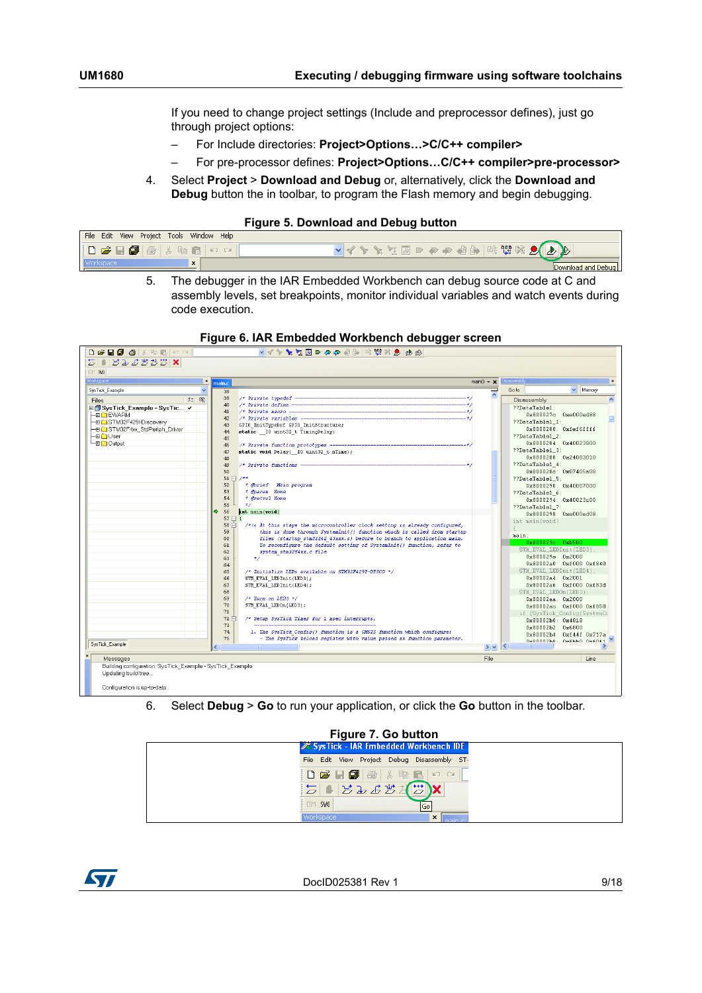If you need to change project settings (Include and preprocessor defines), just go through project options:

- For Include directories: **Project>Options…>C/C++ compiler>**
- For pre-processor defines: **Project>Options…C/C++ compiler>pre-processor>**
- 4. Select **Project** > **Download and Debug** or, alternatively, click the **Download and Debug** button the in toolbar, to program the Flash memory and begin debugging.

#### **Figure 5. Download and Debug button**

<span id="page-8-0"></span>

| File Edit View Project Tools Window Help                                                              |                         |  |
|-------------------------------------------------------------------------------------------------------|-------------------------|--|
| $ \mathbf{D}\mathbf{B}\mathbf{B} $ . $ \mathbf{B} \mathbf{B} $ . The set of $ \mathbf{D} \mathbf{C} $ | - マインドエロッキャ 伯郎 はまは メインド |  |
| <b>Workspace</b><br>$\mathbf{r}$                                                                      | Download and Debug      |  |

**Figure 6. IAR Embedded Workbench debugger screen**

5. The debugger in the IAR Embedded Workbench can debug source code at C and assembly levels, set breakpoints, monitor individual variables and watch events during code execution.

<span id="page-8-1"></span>

| D <del>BBB</del> Shako                                    |                           | - マイトを江西のやや日本 国盟区 タイト                                                          |                                         |                         |                             |
|-----------------------------------------------------------|---------------------------|--------------------------------------------------------------------------------|-----------------------------------------|-------------------------|-----------------------------|
| 502222                                                    |                           |                                                                                |                                         |                         |                             |
| ETM SWO                                                   |                           |                                                                                |                                         |                         |                             |
| Workspace                                                 | $\vert x \vert$<br>main.c |                                                                                | $main() \rightarrow \times$ Disassembly |                         | $\mathbf{x}$                |
| SysTick Example                                           | $\ddotmark$<br>38         |                                                                                | Ξ                                       | Goto                    | $\vee$ Memory               |
| 知 略<br>Files                                              | 39                        |                                                                                | $\hat{\phantom{a}}$                     | Disassembly             | $\boldsymbol{\wedge}$       |
| □ SysTick_Example - SysTic v                              | 40                        |                                                                                |                                         | ??DataTable1:           |                             |
| <b>HE TEWARM</b>                                          | 41                        |                                                                                |                                         |                         | 0x800027c: 0xe000ed88       |
| -EI STM32F429l-Discovery                                  | 42                        | /* Private variables -----------------------------------                       |                                         | ??DataTable1 1:         |                             |
| - STM32F4xx_StdPeriph_Driver                              | 43                        | GPIO InitTypeDef GPIO InitStructure;                                           |                                         |                         | 0x8000280: 0xfef6ffff       |
| ⊢⊞ <mark>∩</mark> User                                    | 44                        | static IO uint32 t TimingDelay;                                                |                                         | ??DataTable1 2:         |                             |
| La noutout                                                | 45                        |                                                                                |                                         |                         | 0x8000284: 0x40023800       |
|                                                           | 46                        | /* Private function prototypes --                                              |                                         | ??DataTable1 3:         |                             |
|                                                           | 47                        | static void Delay ( IO uint32 t nTime);                                        |                                         |                         | 0x8000288: 0x24003010       |
|                                                           | 48                        |                                                                                |                                         | ??DataTable1 4:         |                             |
|                                                           | 49<br>50                  | /* Private functions --                                                        |                                         |                         | 0x800028c: 0x07405a08       |
|                                                           | $51 \Box /$               |                                                                                |                                         | ??DataTable1_5:         |                             |
|                                                           | 52                        | * @brief Main program                                                          |                                         |                         | 0x8000290: 0x40007000       |
|                                                           | 53                        | * @param None                                                                  |                                         | ??DataTable1 6:         |                             |
|                                                           | 54                        | * @retval None                                                                 |                                         |                         |                             |
|                                                           | 55<br>$\star$             |                                                                                |                                         |                         | 0x8000294: 0x40023c00       |
|                                                           | 56                        | int main(void)                                                                 |                                         | ??DataTable1 7:         |                             |
|                                                           | 57日{                      |                                                                                |                                         |                         | 0x8000298: 0xe000ed08       |
|                                                           | 58日                       | $/$ */< At this stage the microcontroller clock setting is already configured, |                                         | int main(void)          |                             |
|                                                           | 59                        | this is done through SystemInit() function which is called from startup        |                                         | €                       |                             |
|                                                           | 60                        | files (startup stm32f42 43xxx.s) before to branch to application main.         |                                         | main:                   |                             |
|                                                           | 61                        | To reconfigure the default setting of SystemInit() function, refer to          |                                         | 0x800029c: 0xb580       |                             |
|                                                           | 62                        | system stm32f4xx.c file                                                        |                                         | STM_EVAL_LEDInit(LED3); |                             |
|                                                           | 63                        | $\star$                                                                        |                                         | 0x800029e: 0x2000       |                             |
|                                                           | 64                        |                                                                                |                                         |                         | 0x80002a0: 0xf000 0xf840    |
|                                                           | 65                        | /* Initialize LEDs available on STM32F429I-DISCO */                            |                                         | STM_EVAL_LEDInit(LED4); |                             |
|                                                           | 66                        | STM EVAL LEDInit(LED3);                                                        |                                         | 0x80002a4:0x2001        |                             |
|                                                           | 67                        | STM EVAL LEDInit(LED4);                                                        |                                         |                         | 0x80002a6: 0xf000 0xf83d    |
|                                                           | 68                        |                                                                                |                                         | STM_EVAL_LEDOn(LED3);   |                             |
|                                                           | 69                        | $/$ * Turn on LED3 */                                                          |                                         | 0x80002aa: 0x2000       |                             |
|                                                           | 70<br>71                  | STM_EVAL_LEDOn(LED3);                                                          |                                         |                         | 0x80002ac: 0xf000 0xf858    |
|                                                           | 72 白                      | /* Setup SysTick Timer for 1 msec interrupts.                                  |                                         |                         | if (SysTick_Config(SystemCo |
|                                                           | 73                        |                                                                                |                                         | 0x80002b0: 0x4818       |                             |
|                                                           | 74                        | 1. The SysTick Config() function is a CMSIS function which configure:          |                                         | 0x80002b2: 0x6800       |                             |
|                                                           | 75                        | - The SysTick Reload register with value passed as function parameter.         |                                         |                         | 0x80002b4: 0xf44f 0x717a    |
| SysTick Example                                           | Ł                         |                                                                                | $>$ $\vee$ $\leq$                       |                         | Negnonchg - nefhan nefnet   |
|                                                           |                           |                                                                                |                                         |                         |                             |
| Messages                                                  |                           |                                                                                | File                                    |                         | Line                        |
| Building configuration: SysTick_Example - SysTick_Example |                           |                                                                                |                                         |                         |                             |
| Updating build tree                                       |                           |                                                                                |                                         |                         |                             |
|                                                           |                           |                                                                                |                                         |                         |                             |
| Configuration is up-to-date.                              |                           |                                                                                |                                         |                         |                             |
|                                                           |                           |                                                                                |                                         |                         |                             |

6. Select **Debug** > **Go** to run your application, or click the **Go** button in the toolbar.

<span id="page-8-2"></span>

| Figure 7. Go button |                                                                                                                                                                                                                                                                                                                                                                                                                                 |     |  |  |
|---------------------|---------------------------------------------------------------------------------------------------------------------------------------------------------------------------------------------------------------------------------------------------------------------------------------------------------------------------------------------------------------------------------------------------------------------------------|-----|--|--|
|                     | <b>i</b> is SysTick - IAR Embedded Workbench IDE                                                                                                                                                                                                                                                                                                                                                                                |     |  |  |
|                     | File Edit View Project Debug Disassembly ST-                                                                                                                                                                                                                                                                                                                                                                                    |     |  |  |
|                     | $\left  \begin{array}{c} \textbf{D} \ \textbf{B} \ \textbf{B} \ \textbf{B} \ \textbf{B} \ \textbf{B} \ \textbf{A} \ \textbf{B} \ \textbf{C} \ \textbf{A} \ \textbf{C} \ \textbf{A} \ \textbf{C} \ \textbf{A} \ \textbf{C} \ \textbf{A} \ \textbf{C} \ \textbf{A} \ \textbf{C} \ \textbf{A} \ \textbf{C} \ \textbf{A} \ \textbf{C} \ \textbf{A} \ \textbf{C} \ \textbf{A} \ \textbf{C} \ \textbf{A} \ \textbf{C} \ \textbf{A} \$ |     |  |  |
|                     | $\boxed{\mathbf{E}}\mathbf{1} \mathbf{E} \mathbf{E} \mathbf{E} \mathbf{E} \mathbf{E} \mathbf{E} \mathbf{E} \mathbf{E} \mathbf{E} \mathbf{X}$                                                                                                                                                                                                                                                                                    |     |  |  |
|                     | ETM SWO                                                                                                                                                                                                                                                                                                                                                                                                                         | lGo |  |  |
|                     | Workspace                                                                                                                                                                                                                                                                                                                                                                                                                       |     |  |  |



DocID025381 Rev 1 9/18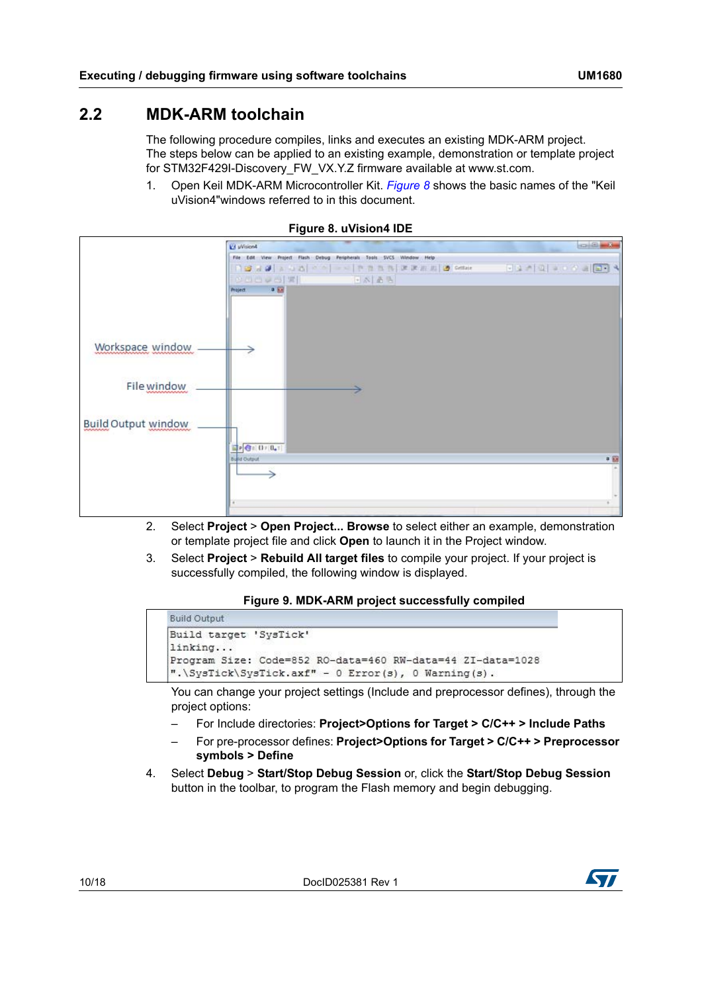### <span id="page-9-0"></span>**2.2 MDK-ARM toolchain**

The following procedure compiles, links and executes an existing MDK-ARM project. The steps below can be applied to an existing example, demonstration or template project for STM32F429I-Discovery\_FW\_VX.Y.Z firmware available at www.st.com.

1. Open Keil MDK-ARM Microcontroller Kit. *[Figure 8](#page-9-1)* shows the basic names of the "Keil uVision4"windows referred to in this document.

<span id="page-9-1"></span>

|                            | <b>Ed uVision4</b>                                                    |       |
|----------------------------|-----------------------------------------------------------------------|-------|
|                            |                                                                       |       |
|                            | File Edit View Project Flash Debug Peripherals Tools SVCS Window Help |       |
|                            |                                                                       |       |
|                            | <b>DECANT</b><br>「おお手                                                 |       |
|                            | 中国<br>Project.                                                        |       |
|                            |                                                                       |       |
|                            |                                                                       |       |
|                            |                                                                       |       |
|                            |                                                                       |       |
| Workspace window           |                                                                       |       |
|                            |                                                                       |       |
|                            |                                                                       |       |
| File window<br>nnnnnnnnnn  |                                                                       |       |
|                            |                                                                       |       |
|                            |                                                                       |       |
| <b>Build Output window</b> |                                                                       |       |
|                            |                                                                       |       |
|                            |                                                                       |       |
|                            | <b>Build Output</b>                                                   | $+53$ |
|                            |                                                                       |       |
|                            | ↘                                                                     |       |
|                            |                                                                       |       |
|                            |                                                                       |       |
|                            |                                                                       |       |

#### **Figure 8. uVision4 IDE**

- 2. Select **Project** > **Open Project... Browse** to select either an example, demonstration or template project file and click **Open** to launch it in the Project window.
- 3. Select **Project** > **Rebuild All target files** to compile your project. If your project is successfully compiled, the following window is displayed.

#### **Figure 9. MDK-ARM project successfully compiled**

<span id="page-9-2"></span>

You can change your project settings (Include and preprocessor defines), through the project options:

- For Include directories: **Project>Options for Target > C/C++ > Include Paths**
- For pre-processor defines: **Project>Options for Target > C/C++ > Preprocessor symbols > Define**
- 4. Select **Debug** > **Start/Stop Debug Session** or, click the **Start/Stop Debug Session** button in the toolbar, to program the Flash memory and begin debugging.

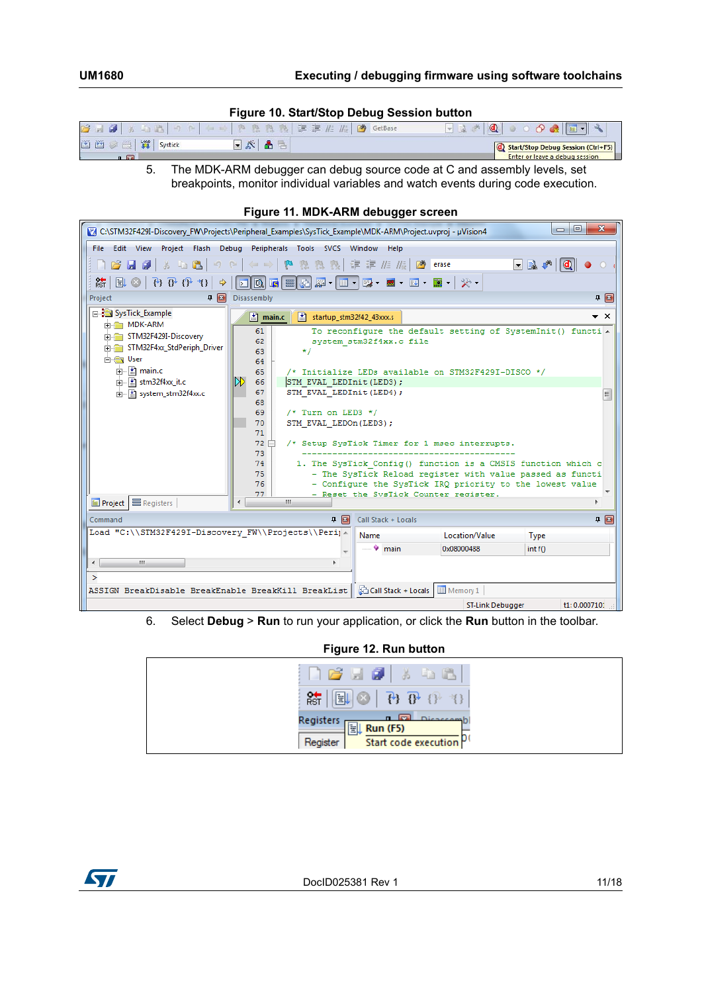#### **Figure 10. Start/Stop Debug Session button**

<span id="page-10-0"></span>

| <b>BRB</b>                         | <b>COL</b> | $\mathbf{Q}$<br>$\alpha$                           |
|------------------------------------|------------|----------------------------------------------------|
| 国圈<br>$\frac{1000}{32}$<br>Systick | $-20$      | <b>Calcular Start/Stop Debug Session (Ctrl+F5)</b> |
| $n \cdot  m $                      |            | Enter or leave a debug session                     |

5. The MDK-ARM debugger can debug source code at C and assembly levels, set breakpoints, monitor individual variables and watch events during code execution.

<span id="page-10-1"></span>

| <b>I Iyule TI. MIDR-ARM Gebuyyei Scieen</b>                                                                                                                                                                                                                                                                                                                                                                                                                                                                                                                                                                                                                       |
|-------------------------------------------------------------------------------------------------------------------------------------------------------------------------------------------------------------------------------------------------------------------------------------------------------------------------------------------------------------------------------------------------------------------------------------------------------------------------------------------------------------------------------------------------------------------------------------------------------------------------------------------------------------------|
| Ж<br>$\Box$<br>$\Box$<br>C:\STM32F429I-Discovery_FW\Projects\Peripheral_Examples\SysTick_Example\MDK-ARM\Project.uvproj - µVision4                                                                                                                                                                                                                                                                                                                                                                                                                                                                                                                                |
| File Edit View Project Flash Debug Peripherals Tools SVCS Window Help                                                                                                                                                                                                                                                                                                                                                                                                                                                                                                                                                                                             |
| <sup>整 熟 熟 律 菲 准 版   29 erase</sup><br>$-3.4$ $0$<br>$3 - 12$<br><b>BH 91</b><br>$\begin{array}{ccccc}\n\mathbf{1} & \mathbf{1} & \mathbf{1} & \mathbf{1} & \mathbf{1} & \mathbf{1} & \mathbf{1} & \mathbf{1} & \mathbf{1} & \mathbf{1} & \mathbf{1} & \mathbf{1} & \mathbf{1} & \mathbf{1} & \mathbf{1} & \mathbf{1} & \mathbf{1} & \mathbf{1} & \mathbf{1} & \mathbf{1} & \mathbf{1} & \mathbf{1} & \mathbf{1} & \mathbf{1} & \mathbf{1} & \mathbf{1} & \mathbf{1} & \mathbf{1} & \mathbf{1} & \mathbf{1} & \$<br>$\leftarrow$ $\rightarrow$ $\mid$ $\mu$                                                                                                       |
| $\mathbb{R}$ $\mathbb{R}$ $\mathbb{R}$ $\mathbb{R}$ $\mathbb{R}$<br>$\boxed{\textcolor{blue}{\textbf{1}} \textcolor{blue}{\textbf{1}} \textcolor{blue}{\textbf{1}} \textcolor{blue}{\textbf{1}} \textcolor{blue}{\textbf{1}} \textcolor{blue}{\textbf{1}} \textcolor{blue}{\textbf{2}} \textcolor{blue}{\textbf{1}} \textcolor{blue}{\textbf{2}} \textcolor{blue}{\textbf{1}} \textcolor{blue}{\textbf{2}} \textcolor{blue}{\textbf{1}} \textcolor{blue}{\textbf{2}} \textcolor{blue}{\textbf{1}} \textcolor{blue}{\textbf{2}} \textcolor{blue}{\textbf{1}} \textcolor{blue}{\textbf{2}} \textcolor{blue}{\textbf{1}} \text$<br>綜<br>$H \odot$<br>$\Rightarrow$ 1 |
| $\mathbf{F}$<br>Disassembly<br>□ 图<br>Project                                                                                                                                                                                                                                                                                                                                                                                                                                                                                                                                                                                                                     |
| 日· SysTick_Example<br>startup_stm32f42_43xxx.s<br>$\star$ $\times$<br>$\mathbb{E}$ main.c<br><b>EDITOR MDK-ARM</b>                                                                                                                                                                                                                                                                                                                                                                                                                                                                                                                                                |
| To reconfigure the default setting of SystemInit() functi .<br>61<br>Find STM32F429I-Discovery<br>62<br>system stm32f4xx.c file<br>STM32F4xx_StdPeriph_Driver<br>$*1$<br>63<br><b>E</b> User<br>64                                                                                                                                                                                                                                                                                                                                                                                                                                                                |
| 由 R main.c<br>65<br>/* Initialize LEDs available on STM32F429I-DISCO */                                                                                                                                                                                                                                                                                                                                                                                                                                                                                                                                                                                           |
| DD.<br>$\frac{1}{2}$ stm32f4xx_it.c<br>66<br>STM EVAL LEDInit (LED3) ;                                                                                                                                                                                                                                                                                                                                                                                                                                                                                                                                                                                            |
| 67<br>STM EVAL LEDInit (LED4) ;<br>由 【 system_stm32f4xx.c<br>팈<br>68                                                                                                                                                                                                                                                                                                                                                                                                                                                                                                                                                                                              |
| 69<br>$/*$ Turn on LED3 */                                                                                                                                                                                                                                                                                                                                                                                                                                                                                                                                                                                                                                        |
| 70<br>STM EVAL LEDOn(LED3);                                                                                                                                                                                                                                                                                                                                                                                                                                                                                                                                                                                                                                       |
| 71                                                                                                                                                                                                                                                                                                                                                                                                                                                                                                                                                                                                                                                                |
| /* Setup SysTick Timer for 1 msec interrupts.<br>$72 \square$                                                                                                                                                                                                                                                                                                                                                                                                                                                                                                                                                                                                     |
| 73<br>74<br>1. The SysTick Config() function is a CMSIS function which c                                                                                                                                                                                                                                                                                                                                                                                                                                                                                                                                                                                          |
| - The SysTick Reload register with value passed as functi<br>75                                                                                                                                                                                                                                                                                                                                                                                                                                                                                                                                                                                                   |
| - Configure the SysTick IRQ priority to the lowest value<br>76                                                                                                                                                                                                                                                                                                                                                                                                                                                                                                                                                                                                    |
| - Reset the SysTick Counter register.<br>77                                                                                                                                                                                                                                                                                                                                                                                                                                                                                                                                                                                                                       |
| E Project   _ Registers<br>m.<br>∢                                                                                                                                                                                                                                                                                                                                                                                                                                                                                                                                                                                                                                |
| □ 图<br>□ □<br>Call Stack + Locals<br>Command                                                                                                                                                                                                                                                                                                                                                                                                                                                                                                                                                                                                                      |
| Load "C:\\STM32F429I-Discovery FW\\Projects\\Perij ^<br>Location/Value<br>Name<br>Type                                                                                                                                                                                                                                                                                                                                                                                                                                                                                                                                                                            |
| $\bullet$ main<br>0x08000488<br>int f()                                                                                                                                                                                                                                                                                                                                                                                                                                                                                                                                                                                                                           |
| m.<br>$\left($<br>Þ.                                                                                                                                                                                                                                                                                                                                                                                                                                                                                                                                                                                                                                              |
| У                                                                                                                                                                                                                                                                                                                                                                                                                                                                                                                                                                                                                                                                 |
| ASSIGN BreakDisable BreakEnable BreakKill BreakList   Coll Stack + Locals   Memory 1                                                                                                                                                                                                                                                                                                                                                                                                                                                                                                                                                                              |
| ST-Link Debugger<br>t1: 0.000710:                                                                                                                                                                                                                                                                                                                                                                                                                                                                                                                                                                                                                                 |
| the estimate the second leader in the contract the contract of the second contract the second contract of the s                                                                                                                                                                                                                                                                                                                                                                                                                                                                                                                                                   |

### **Figure 11. MDK-ARM debugger screen**

6. Select **Debug** > **Run** to run your application, or click the **Run** button in the toolbar.

#### **Figure 12. Run button**

<span id="page-10-2"></span>

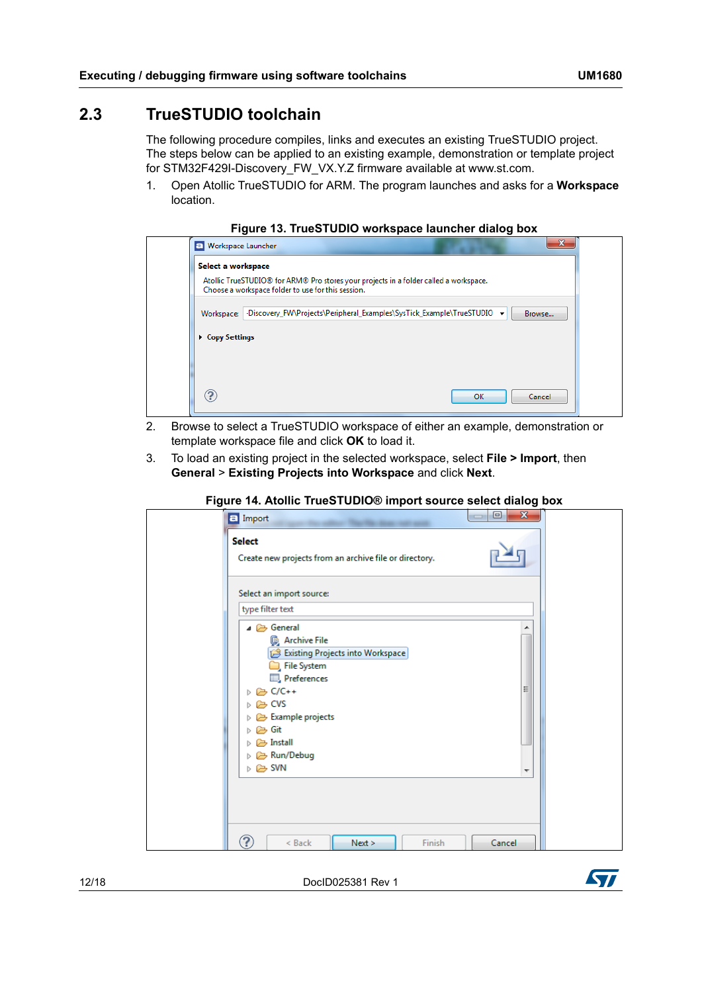### <span id="page-11-0"></span>**2.3 TrueSTUDIO toolchain**

The following procedure compiles, links and executes an existing TrueSTUDIO project. The steps below can be applied to an existing example, demonstration or template project for STM32F429I-Discovery\_FW\_VX.Y.Z firmware available at www.st.com.

1. Open Atollic TrueSTUDIO for ARM. The program launches and asks for a **Workspace** location.



<span id="page-11-1"></span>

| Select a workspace |                                                                                                                                             |
|--------------------|---------------------------------------------------------------------------------------------------------------------------------------------|
|                    | Atollic TrueSTUDIO® for ARM® Pro stores your projects in a folder called a workspace.<br>Choose a workspace folder to use for this session. |
| Workspace:         | -Discovery_FW\Projects\Peripheral_Examples\SysTick_Example\TrueSTUDIO -<br>Browse                                                           |
| ▶ Copy Settings    |                                                                                                                                             |
|                    |                                                                                                                                             |
|                    |                                                                                                                                             |

- 2. Browse to select a TrueSTUDIO workspace of either an example, demonstration or template workspace file and click **OK** to load it.
- 3. To load an existing project in the selected workspace, select **File > Import**, then **General** > **Existing Projects into Workspace** and click **Next**.

<span id="page-11-2"></span>

| $\Box$ Import |                                                                                                                                                                                                                                               | $\Box$<br>$\mathbf{x}$<br>$\Box$ |
|---------------|-----------------------------------------------------------------------------------------------------------------------------------------------------------------------------------------------------------------------------------------------|----------------------------------|
| <b>Select</b> | Create new projects from an archive file or directory.                                                                                                                                                                                        |                                  |
|               | Select an import source:                                                                                                                                                                                                                      |                                  |
|               | type filter text                                                                                                                                                                                                                              |                                  |
|               | ⊿ → General<br>Archive File<br>Existing Projects into Workspace<br>File System<br>Preferences<br>D C/C++<br>▷ → CVS<br>Example projects<br>▷ <i>←</i> Git<br>D → Install<br>▷ <mark>②</mark> Run/Debug<br>$\triangleright \triangleright$ SVN | Ξ<br>▼                           |
| ဂ             | $Next$ ><br>< Back<br>Finish                                                                                                                                                                                                                  | Cancel                           |

**Figure 14. Atollic TrueSTUDIO® import source select dialog box**

12/18 DocID025381 Rev 1

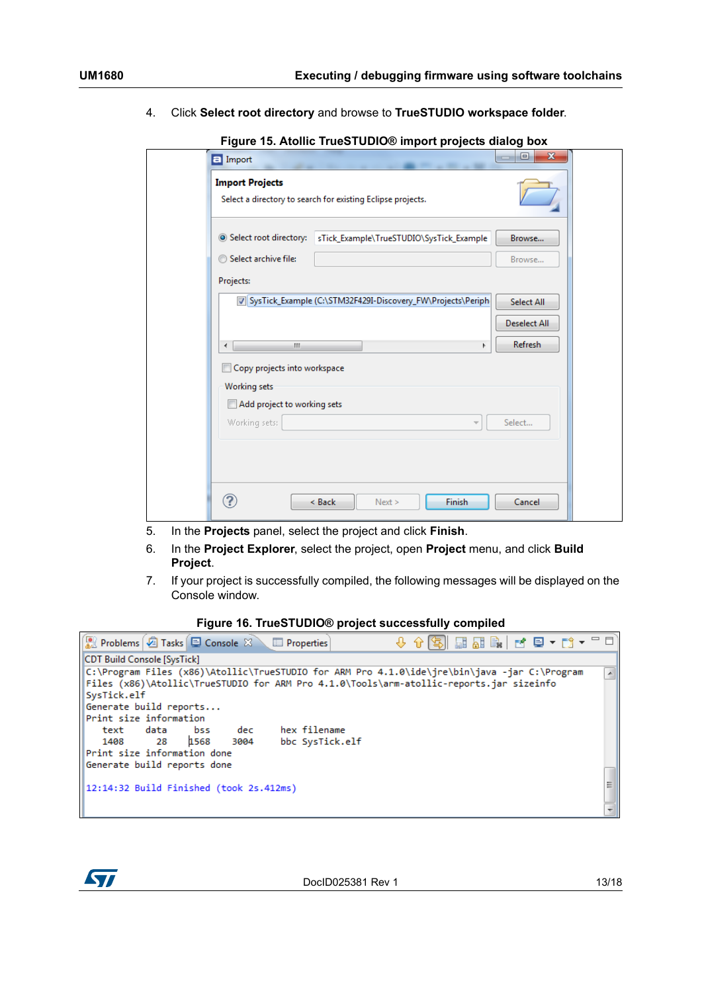4. Click **Select root directory** and browse to **TrueSTUDIO workspace folder**.

<span id="page-12-0"></span>

|                              | Select a directory to search for existing Eclipse projects.   |              |
|------------------------------|---------------------------------------------------------------|--------------|
|                              |                                                               |              |
| Select root directory:       | sTick_Example\TrueSTUDIO\SysTick_Example                      | Browse       |
| Select archive file:         |                                                               | Browse       |
| Projects:                    |                                                               |              |
|                              | V SysTick_Example (C:\STM32F429I-Discovery_FW\Projects\Periph | Select All   |
|                              |                                                               | Deselect All |
| m.<br>$\overline{a}$         |                                                               | Refresh      |
| Copy projects into workspace |                                                               |              |
| <b>Working sets</b>          |                                                               |              |
| Add project to working sets  |                                                               |              |
| Working sets:                | $\overline{\mathcal{M}}$                                      | Select       |
|                              |                                                               |              |
|                              |                                                               |              |

**Figure 15. Atollic TrueSTUDIO® import projects dialog box**

- 5. In the **Projects** panel, select the project and click **Finish**.
- 6. In the **Project Explorer**, select the project, open **Project** menu, and click **Build Project**.
- 7. If your project is successfully compiled, the following messages will be displayed on the Console window.

<span id="page-12-1"></span>**Figure 16. TrueSTUDIO® project successfully compiled**



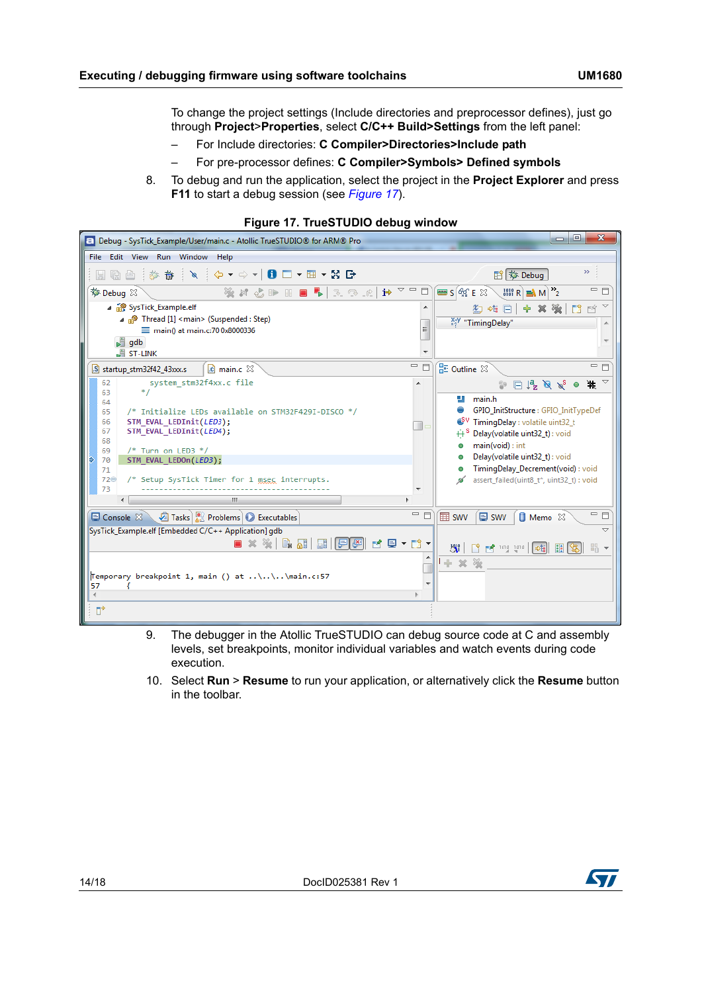To change the project settings (Include directories and preprocessor defines), just go through **Project**>**Properties**, select **C/C++ Build>Settings** from the left panel:

- For Include directories: **C Compiler>Directories>Include path**
- For pre-processor defines: **C Compiler>Symbols> Defined symbols**
- 8. To debug and run the application, select the project in the **Project Explorer** and press **F11** to start a debug session (see *[Figure 17](#page-13-0)*).

<span id="page-13-0"></span>

| $\Box$ e<br>$\mathbf{x}$<br><b>E</b> Debug - SysTick_Example/User/main.c - Atollic TrueSTUDIO® for ARM® Pro                                                                                                                                                                                                                                                                                                                                                                                                                                                                                                                                                                      |                                                                                                                                                                                                                                                                          |  |  |  |
|----------------------------------------------------------------------------------------------------------------------------------------------------------------------------------------------------------------------------------------------------------------------------------------------------------------------------------------------------------------------------------------------------------------------------------------------------------------------------------------------------------------------------------------------------------------------------------------------------------------------------------------------------------------------------------|--------------------------------------------------------------------------------------------------------------------------------------------------------------------------------------------------------------------------------------------------------------------------|--|--|--|
| Edit View Run Window Help<br>File                                                                                                                                                                                                                                                                                                                                                                                                                                                                                                                                                                                                                                                |                                                                                                                                                                                                                                                                          |  |  |  |
| ■△ : 梦 春 : \ : ↓ ▼ → ▼   ● □ ▼ Ⅲ ▼ X B                                                                                                                                                                                                                                                                                                                                                                                                                                                                                                                                                                                                                                           | $>$<br>目参 Debug                                                                                                                                                                                                                                                          |  |  |  |
| $\mathbf{i}$ $\rightarrow$ $\alpha$ $\alpha$<br>梦 Debug 23<br>※は心止田■■ 3.3 だ                                                                                                                                                                                                                                                                                                                                                                                                                                                                                                                                                                                                      | □ 日<br>$\equiv$ $S$ $60$ $E$ $23$<br>$\frac{1}{2}$<br>$lim R \geq M$                                                                                                                                                                                                     |  |  |  |
| 4 SysTick_Example.elf                                                                                                                                                                                                                                                                                                                                                                                                                                                                                                                                                                                                                                                            | ■ 기<br>中义强<br>門<br>紘 雄 回                                                                                                                                                                                                                                                 |  |  |  |
| ⊿ nº Thread [1] <main> (Suspended : Step)<br/>Ξ<br/>main() at main.c:70 0x8000336</main>                                                                                                                                                                                                                                                                                                                                                                                                                                                                                                                                                                                         | x <sup>+y</sup> "TimingDelay"                                                                                                                                                                                                                                            |  |  |  |
| $\frac{1}{2}$ gdb                                                                                                                                                                                                                                                                                                                                                                                                                                                                                                                                                                                                                                                                |                                                                                                                                                                                                                                                                          |  |  |  |
| <b>ST-LINK</b>                                                                                                                                                                                                                                                                                                                                                                                                                                                                                                                                                                                                                                                                   |                                                                                                                                                                                                                                                                          |  |  |  |
| $=$ $\Box$<br>$\Omega$ main.c $\boxtimes$<br>S startup_stm32f42_43xxx.s                                                                                                                                                                                                                                                                                                                                                                                                                                                                                                                                                                                                          | 一日<br>RE Outline 23                                                                                                                                                                                                                                                      |  |  |  |
| system stm32f4xx.c file<br>62<br>۸<br>$*$ /<br>63                                                                                                                                                                                                                                                                                                                                                                                                                                                                                                                                                                                                                                | $\mathbf{m}$<br>$\Box$ $\frac{1}{2}$ $\partial \partial \chi^S$ $\circ$                                                                                                                                                                                                  |  |  |  |
| 64<br>/* Initialize LEDs available on STM32F429I-DISCO */<br>65<br>STM EVAL LEDInit(LED3);<br>66<br>67<br>STM EVAL LEDInit(LED4);<br>68<br>$/*$ Turn on LED3 $*/$<br>69<br>STM_EVAL_LEDOn(LED3);<br>70<br>71<br>/* Setup SysTick Timer for 1 msec interrupts.<br>72⊜<br>73<br>m.<br>一日                                                                                                                                                                                                                                                                                                                                                                                           | main.h<br>÷.<br>GPIO_InitStructure: GPIO_InitTypeDef<br>TimingDelay : volatile uint32_t<br>Delay(volatile uint32 t) : void<br>main(void): int<br>Delay(volatile uint32_t) : void<br>TimingDelay_Decrement(void): void<br>assert failed(uint8 t*, uint32 t) : void<br>□ 日 |  |  |  |
| Tasks   Problems   Executables<br>$\Box$ Console $\mathbb{X}$                                                                                                                                                                                                                                                                                                                                                                                                                                                                                                                                                                                                                    | <b>目 Memo</b> 23<br><b>EE SWV</b><br>$\n  \blacksquare swv$                                                                                                                                                                                                              |  |  |  |
| SysTick_Example.elf [Embedded C/C++ Application] gdb<br>$\overline{\phantom{0}}$<br>$\left[\begin{smallmatrix}\mathbb{F} & \mathbb{F} & \mathbb{F} & \mathbb{F} & \mathbb{F} & \mathbb{F} & \mathbb{F} & \mathbb{F} & \mathbb{F} & \mathbb{F} & \mathbb{F} & \mathbb{F} & \mathbb{F} & \mathbb{F} & \mathbb{F} & \mathbb{F} & \mathbb{F} & \mathbb{F} & \mathbb{F} & \mathbb{F} & \mathbb{F} & \mathbb{F} & \mathbb{F} & \mathbb{F} & \mathbb{F} & \mathbb{F} & \mathbb{F} & \mathbb{F} & \mathbb{F} & \mathbb{F} & \mathbb$<br><b>ALL</b><br>■ 凹壁   韓<br>m →<br>パー<br>ГŶ.<br>B<br>$+ 28 %$<br>Temporary breakpoint 1, main () at \\\main.c:57<br>$\overline{\phantom{a}}$<br>57 |                                                                                                                                                                                                                                                                          |  |  |  |
| $\mathbb{D}^*$                                                                                                                                                                                                                                                                                                                                                                                                                                                                                                                                                                                                                                                                   |                                                                                                                                                                                                                                                                          |  |  |  |

#### **Figure 17. TrueSTUDIO debug window**

- 9. The debugger in the Atollic TrueSTUDIO can debug source code at C and assembly levels, set breakpoints, monitor individual variables and watch events during code execution.
- 10. Select **Run** > **Resume** to run your application, or alternatively click the **Resume** button in the toolbar.

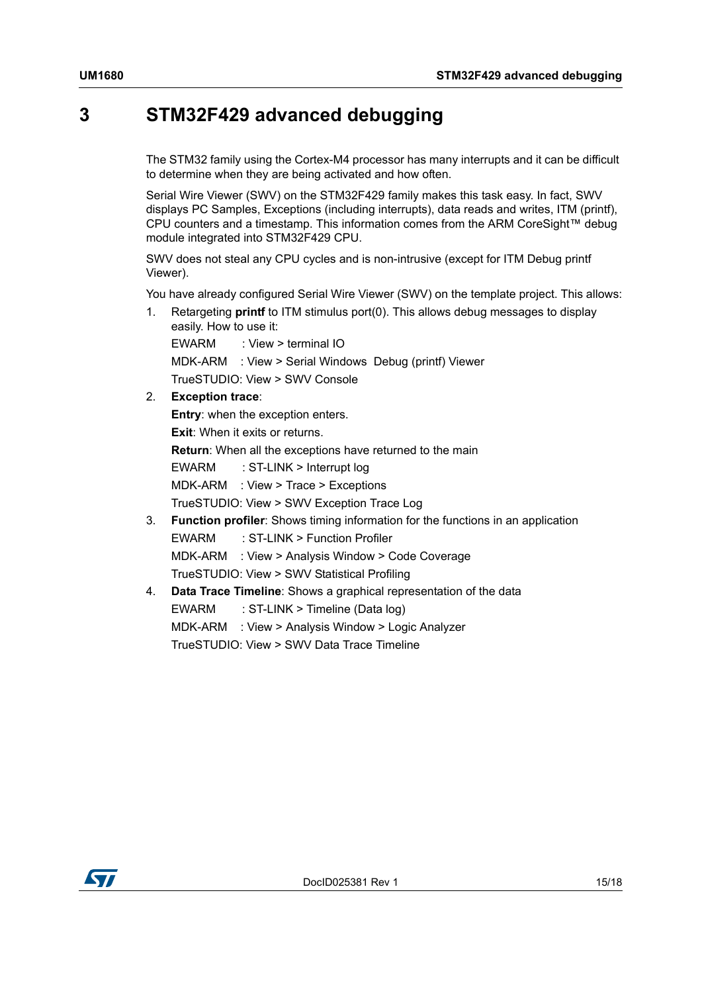### <span id="page-14-1"></span>**3 STM32F429 advanced debugging**

<span id="page-14-0"></span>The STM32 family using the Cortex-M4 processor has many interrupts and it can be difficult to determine when they are being activated and how often.

Serial Wire Viewer (SWV) on the STM32F429 family makes this task easy. In fact, SWV displays PC Samples, Exceptions (including interrupts), data reads and writes, ITM (printf), CPU counters and a timestamp. This information comes from the ARM CoreSight™ debug module integrated into STM32F429 CPU.

SWV does not steal any CPU cycles and is non-intrusive (except for ITM Debug printf Viewer).

You have already configured Serial Wire Viewer (SWV) on the template project. This allows:

1. Retargeting **printf** to ITM stimulus port(0). This allows debug messages to display easily. How to use it:

```
EWARM : View > terminal IO
MDK-ARM : View > Serial Windows Debug (printf) Viewer
TrueSTUDIO: View > SWV Console
```
2. **Exception trace**:

```
Entry: when the exception enters.
Exit: When it exits or returns.
Return: When all the exceptions have returned to the main
EWARM : ST-LINK > Interrupt log
MDK-ARM : View > Trace > Exceptions
TrueSTUDIO: View > SWV Exception Trace Log
```
- 3. **Function profiler**: Shows timing information for the functions in an application EWARM : ST-LINK > Function Profiler MDK-ARM : View > Analysis Window > Code Coverage TrueSTUDIO: View > SWV Statistical Profiling
- 4. **Data Trace Timeline**: Shows a graphical representation of the data EWARM : ST-LINK > Timeline (Data log) MDK-ARM : View > Analysis Window > Logic Analyzer TrueSTUDIO: View > SWV Data Trace Timeline

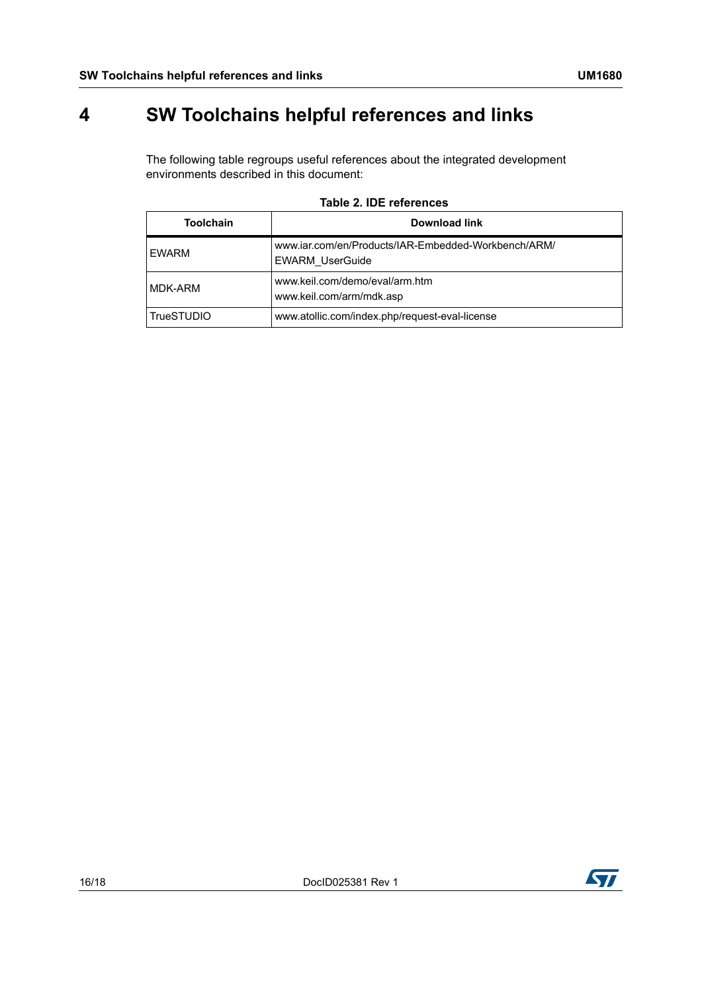# <span id="page-15-1"></span>**4 SW Toolchains helpful references and links**

<span id="page-15-0"></span>The following table regroups useful references about the integrated development environments described in this document:

<span id="page-15-2"></span>

| <b>Toolchain</b>  | Download link                                                                 |  |  |  |
|-------------------|-------------------------------------------------------------------------------|--|--|--|
| <b>EWARM</b>      | www.iar.com/en/Products/IAR-Embedded-Workbench/ARM/<br><b>EWARM UserGuide</b> |  |  |  |
| MDK-ARM           | www.keil.com/demo/eval/arm.htm<br>www.keil.com/arm/mdk.asp                    |  |  |  |
| <b>TrueSTUDIO</b> | www.atollic.com/index.php/request-eval-license                                |  |  |  |

### **Table 2. IDE references**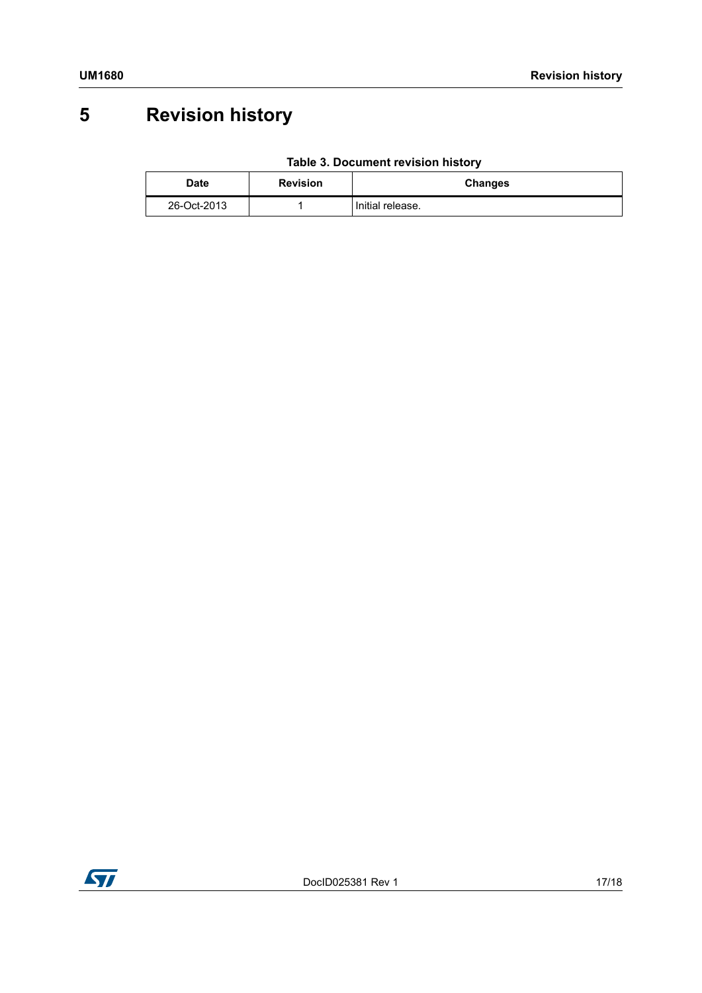# <span id="page-16-0"></span>**5 Revision history**

|  | Table 3. Document revision history |  |  |
|--|------------------------------------|--|--|
|--|------------------------------------|--|--|

<span id="page-16-1"></span>

| Date        | <b>Revision</b> | Changes          |
|-------------|-----------------|------------------|
| 26-Oct-2013 |                 | Initial release. |